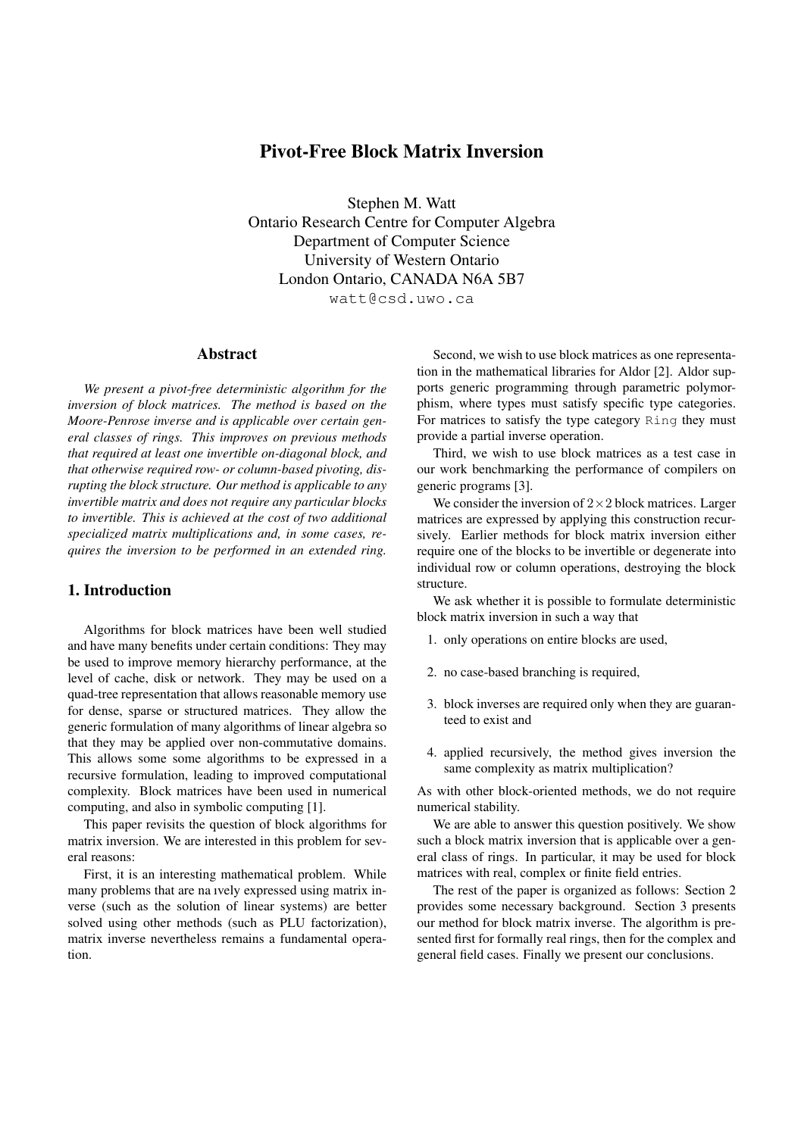# Pivot-Free Block Matrix Inversion

Stephen M. Watt Ontario Research Centre for Computer Algebra Department of Computer Science University of Western Ontario London Ontario, CANADA N6A 5B7 watt@csd.uwo.ca

#### Abstract

*We present a pivot-free deterministic algorithm for the inversion of block matrices. The method is based on the Moore-Penrose inverse and is applicable over certain general classes of rings. This improves on previous methods that required at least one invertible on-diagonal block, and that otherwise required row- or column-based pivoting, disrupting the block structure. Our method is applicable to any invertible matrix and does not require any particular blocks to invertible. This is achieved at the cost of two additional specialized matrix multiplications and, in some cases, requires the inversion to be performed in an extended ring.*

### 1. Introduction

Algorithms for block matrices have been well studied and have many benefits under certain conditions: They may be used to improve memory hierarchy performance, at the level of cache, disk or network. They may be used on a quad-tree representation that allows reasonable memory use for dense, sparse or structured matrices. They allow the generic formulation of many algorithms of linear algebra so that they may be applied over non-commutative domains. This allows some some algorithms to be expressed in a recursive formulation, leading to improved computational complexity. Block matrices have been used in numerical computing, and also in symbolic computing [1].

This paper revisits the question of block algorithms for matrix inversion. We are interested in this problem for several reasons:

First, it is an interesting mathematical problem. While many problems that are na ıvely expressed using matrix inverse (such as the solution of linear systems) are better solved using other methods (such as PLU factorization), matrix inverse nevertheless remains a fundamental operation.

Second, we wish to use block matrices as one representation in the mathematical libraries for Aldor [2]. Aldor supports generic programming through parametric polymorphism, where types must satisfy specific type categories. For matrices to satisfy the type category Ring they must provide a partial inverse operation.

Third, we wish to use block matrices as a test case in our work benchmarking the performance of compilers on generic programs [3].

We consider the inversion of  $2\times 2$  block matrices. Larger matrices are expressed by applying this construction recursively. Earlier methods for block matrix inversion either require one of the blocks to be invertible or degenerate into individual row or column operations, destroying the block structure.

We ask whether it is possible to formulate deterministic block matrix inversion in such a way that

- 1. only operations on entire blocks are used,
- 2. no case-based branching is required,
- 3. block inverses are required only when they are guaranteed to exist and
- 4. applied recursively, the method gives inversion the same complexity as matrix multiplication?

As with other block-oriented methods, we do not require numerical stability.

We are able to answer this question positively. We show such a block matrix inversion that is applicable over a general class of rings. In particular, it may be used for block matrices with real, complex or finite field entries.

The rest of the paper is organized as follows: Section 2 provides some necessary background. Section 3 presents our method for block matrix inverse. The algorithm is presented first for formally real rings, then for the complex and general field cases. Finally we present our conclusions.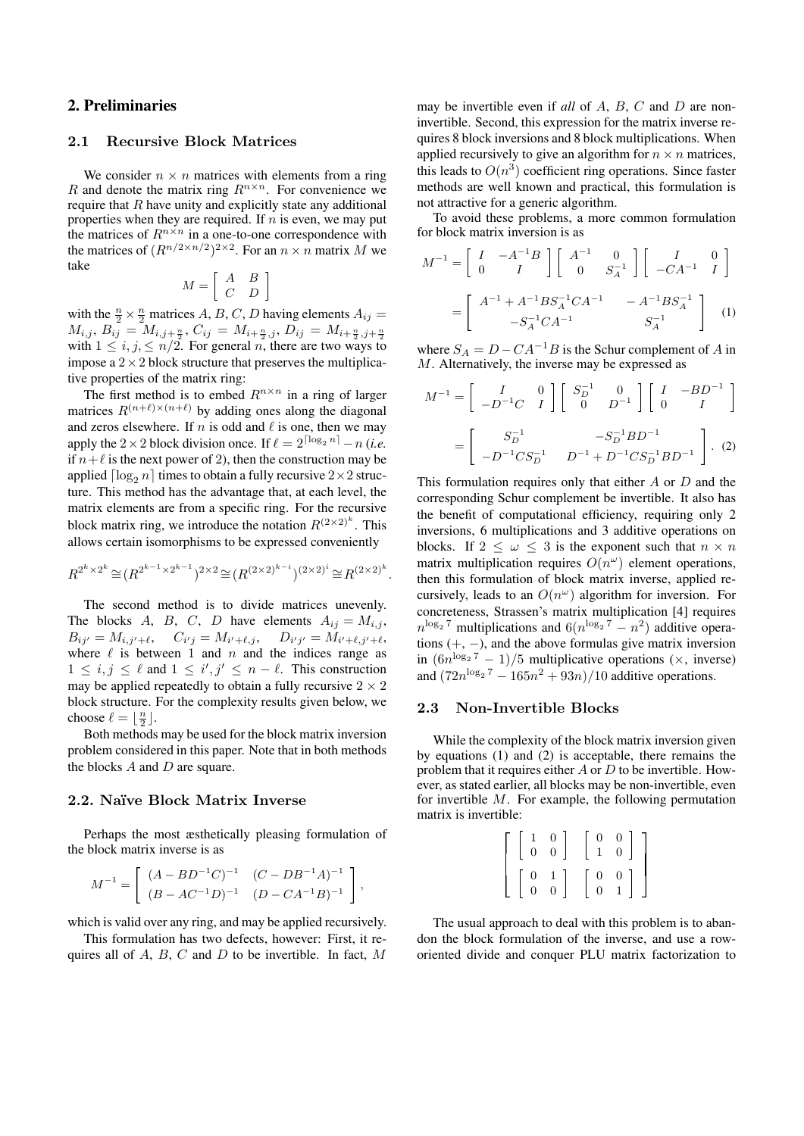# 2. Preliminaries

# 2.1 Recursive Block Matrices

We consider  $n \times n$  matrices with elements from a ring R and denote the matrix ring  $R^{n \times n}$ . For convenience we require that  $R$  have unity and explicitly state any additional properties when they are required. If  $n$  is even, we may put the matrices of  $R^{n \times n}$  in a one-to-one correspondence with the matrices of  $(R^{n/2 \times n/2})^{2 \times 2}$ . For an  $n \times n$  matrix M we take

$$
M = \left[ \begin{array}{cc} A & B \\ C & D \end{array} \right]
$$

with the  $\frac{n}{2} \times \frac{n}{2}$  matrices A, B, C, D having elements  $A_{ij} =$  $M_{i,j},\, B_{ij}\,=\,M_{i,j+\frac{n}{2}},\, C_{ij}\,=\,M_{i+\frac{n}{2},j},\, D_{ij}\,=\,M_{i+\frac{n}{2},j+\frac{n}{2}}$ with  $1 \leq i, j, \leq n/2$ . For general *n*, there are two ways to impose a  $2 \times 2$  block structure that preserves the multiplicative properties of the matrix ring:

The first method is to embed  $R^{n \times n}$  in a ring of larger matrices  $R^{(n+\ell)\times(n+\ell)}$  by adding ones along the diagonal and zeros elsewhere. If n is odd and  $\ell$  is one, then we may apply the 2 × 2 block division once. If  $\ell = 2^{\lceil \log_2 n \rceil} -n$  (*i.e.* if  $n+\ell$  is the next power of 2), then the construction may be applied  $\lceil \log_2 n \rceil$  times to obtain a fully recursive  $2 \times 2$  structure. This method has the advantage that, at each level, the matrix elements are from a specific ring. For the recursive block matrix ring, we introduce the notation  $R^{(2\times2)^k}$ . This allows certain isomorphisms to be expressed conveniently

$$
R^{2^k \times 2^k} \cong (R^{2^{k-1} \times 2^{k-1}})^{2 \times 2} \cong (R^{(2 \times 2)^{k-i}})^{(2 \times 2)^i} \cong R^{(2 \times 2)^k}.
$$

The second method is to divide matrices unevenly. The blocks A, B, C, D have elements  $A_{ij} = M_{i,j}$ ,  $B_{ij'} = M_{i,j'+\ell}, \quad C_{i'j} = M_{i'+\ell,j}, \quad D_{i'j'} = M_{i'+\ell,j'+\ell},$ where  $\ell$  is between 1 and n and the indices range as  $1 \leq i, j \leq \ell$  and  $1 \leq i', j' \leq n - \ell$ . This construction may be applied repeatedly to obtain a fully recursive  $2 \times 2$ block structure. For the complexity results given below, we choose  $\ell = \lfloor \frac{n}{2} \rfloor$ .

Both methods may be used for the block matrix inversion problem considered in this paper. Note that in both methods the blocks  $A$  and  $D$  are square.

### 2.2. Naïve Block Matrix Inverse

Perhaps the most æsthetically pleasing formulation of the block matrix inverse is as

$$
M^{-1} = \begin{bmatrix} (A - BD^{-1}C)^{-1} & (C - DB^{-1}A)^{-1} \\ (B - AC^{-1}D)^{-1} & (D - CA^{-1}B)^{-1} \end{bmatrix},
$$

which is valid over any ring, and may be applied recursively.

This formulation has two defects, however: First, it requires all of  $A$ ,  $B$ ,  $C$  and  $D$  to be invertible. In fact,  $M$  may be invertible even if *all* of A, B, C and D are noninvertible. Second, this expression for the matrix inverse requires 8 block inversions and 8 block multiplications. When applied recursively to give an algorithm for  $n \times n$  matrices, this leads to  $O(n^3)$  coefficient ring operations. Since faster methods are well known and practical, this formulation is not attractive for a generic algorithm.

To avoid these problems, a more common formulation for block matrix inversion is as

$$
M^{-1} = \begin{bmatrix} I & -A^{-1}B \\ 0 & I \end{bmatrix} \begin{bmatrix} A^{-1} & 0 \\ 0 & S_A^{-1} \end{bmatrix} \begin{bmatrix} I & 0 \\ -CA^{-1} & I \end{bmatrix}
$$

$$
= \begin{bmatrix} A^{-1} + A^{-1}BS_A^{-1}CA^{-1} & -A^{-1}BS_A^{-1} \\ -S_A^{-1}CA^{-1} & S_A^{-1} \end{bmatrix}
$$
 (1)

where  $S_A = D - CA^{-1}B$  is the Schur complement of A in M. Alternatively, the inverse may be expressed as

$$
M^{-1} = \begin{bmatrix} I & 0 \\ -D^{-1}C & I \end{bmatrix} \begin{bmatrix} S_D^{-1} & 0 \\ 0 & D^{-1} \end{bmatrix} \begin{bmatrix} I & -BD^{-1} \\ 0 & I \end{bmatrix}
$$

$$
= \begin{bmatrix} S_D^{-1} & -S_D^{-1}BD^{-1} \\ -D^{-1}CS_D^{-1} & D^{-1} + D^{-1}CS_D^{-1}BD^{-1} \end{bmatrix} . (2)
$$

This formulation requires only that either  $A$  or  $D$  and the corresponding Schur complement be invertible. It also has the benefit of computational efficiency, requiring only 2 inversions, 6 multiplications and 3 additive operations on blocks. If  $2 \leq \omega \leq 3$  is the exponent such that  $n \times n$ matrix multiplication requires  $O(n^{\omega})$  element operations, then this formulation of block matrix inverse, applied recursively, leads to an  $O(n^{\omega})$  algorithm for inversion. For concreteness, Strassen's matrix multiplication [4] requires  $n^{\log_2 7}$  multiplications and  $6(n^{\log_2 7} - n^2)$  additive operations  $(+, -)$ , and the above formulas give matrix inversion in  $(6n^{\log_2 7} - 1)/5$  multiplicative operations ( $\times$ , inverse) and  $(72n^{\log_2 7} - 165n^2 + 93n)/10$  additive operations.

#### 2.3 Non-Invertible Blocks

While the complexity of the block matrix inversion given by equations (1) and (2) is acceptable, there remains the problem that it requires either  $A$  or  $D$  to be invertible. However, as stated earlier, all blocks may be non-invertible, even for invertible  $M$ . For example, the following permutation matrix is invertible:

| $\overline{0}$ | $\overline{0}$                               | $\begin{matrix} 0 & 0 \\ 1 & 0 \end{matrix}$ | $\overline{0}$                             |  |
|----------------|----------------------------------------------|----------------------------------------------|--------------------------------------------|--|
|                | $\begin{matrix} 0 & 1 \\ 0 & 0 \end{matrix}$ | $\begin{matrix} 0 \\ 0 \end{matrix}$         | $\begin{smallmatrix}0\\1\end{smallmatrix}$ |  |

The usual approach to deal with this problem is to abandon the block formulation of the inverse, and use a roworiented divide and conquer PLU matrix factorization to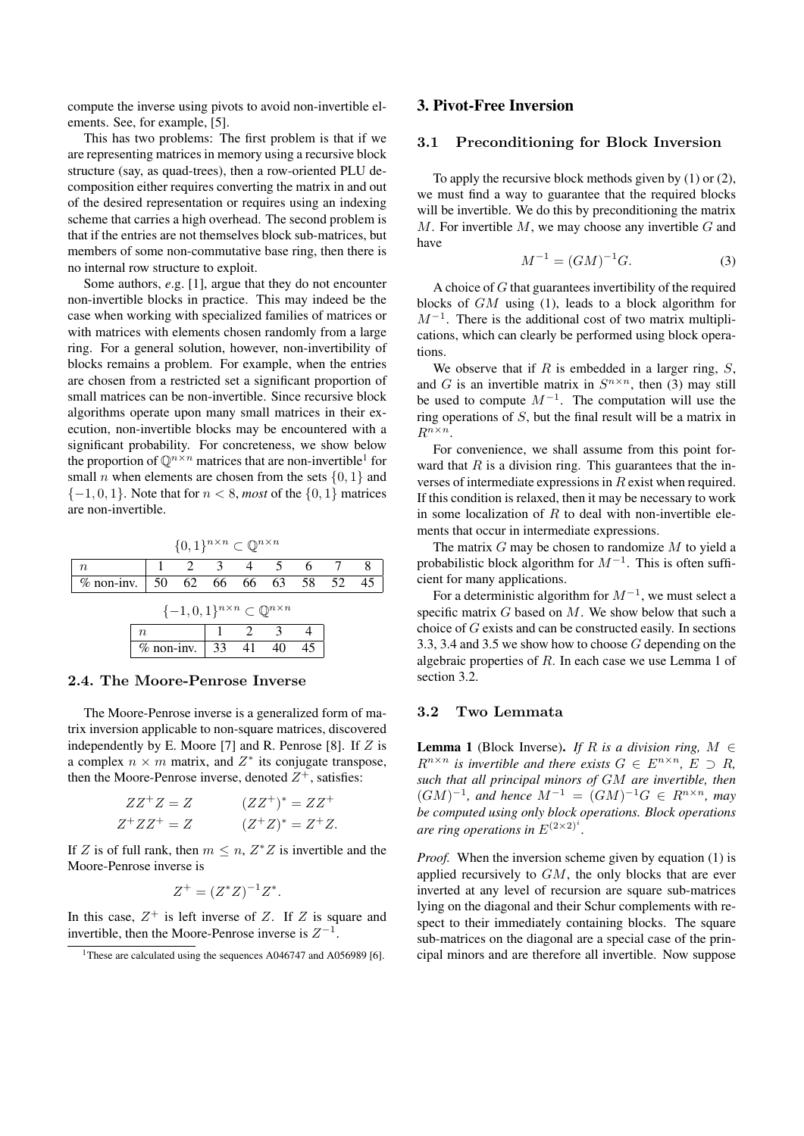compute the inverse using pivots to avoid non-invertible elements. See, for example, [5].

This has two problems: The first problem is that if we are representing matrices in memory using a recursive block structure (say, as quad-trees), then a row-oriented PLU decomposition either requires converting the matrix in and out of the desired representation or requires using an indexing scheme that carries a high overhead. The second problem is that if the entries are not themselves block sub-matrices, but members of some non-commutative base ring, then there is no internal row structure to exploit.

Some authors, *e*.g. [1], argue that they do not encounter non-invertible blocks in practice. This may indeed be the case when working with specialized families of matrices or with matrices with elements chosen randomly from a large ring. For a general solution, however, non-invertibility of blocks remains a problem. For example, when the entries are chosen from a restricted set a significant proportion of small matrices can be non-invertible. Since recursive block algorithms operate upon many small matrices in their execution, non-invertible blocks may be encountered with a significant probability. For concreteness, we show below the proportion of  $\mathbb{Q}^{n \times n}$  matrices that are non-invertible<sup>1</sup> for small *n* when elements are chosen from the sets  $\{0, 1\}$  and  ${-1, 0, 1}$ . Note that for  $n < 8$ , *most* of the  ${0, 1}$  matrices are non-invertible.

 $\{0, 1\}^{n \times n}$  $\mathbb{Q}^{n \times n}$  $n \hspace{1cm} 1 \hspace{1cm} 2 \hspace{1cm} 3 \hspace{1cm} 4 \hspace{1cm} 5 \hspace{1cm} 6 \hspace{1cm} 7 \hspace{1cm} 8$ % non-inv. 50 62 66 66 63 58 52 45  $\{-1,0,1\}^{n \times n}$  ⊂  $\mathbb{Q}^{n \times n}$  $n \begin{array}{|c|c|c|c|c|} \hline 1 & 2 & 3 & 4 \ \hline \end{array}$ % non-inv.  $33 \quad 41 \quad 40 \quad 45$ 

#### 2.4. The Moore-Penrose Inverse

The Moore-Penrose inverse is a generalized form of matrix inversion applicable to non-square matrices, discovered independently by E. Moore [7] and R. Penrose [8]. If  $Z$  is a complex  $n \times m$  matrix, and  $Z^*$  its conjugate transpose, then the Moore-Penrose inverse, denoted  $Z^+$ , satisfies:

| $ZZ^+Z=Z$   | $(ZZ^{+})^* = ZZ^{+}$ |
|-------------|-----------------------|
| $Z^+ZZ^+=Z$ | $(Z^+Z)^* = Z^+Z.$    |

If Z is of full rank, then  $m \leq n$ ,  $Z^*Z$  is invertible and the Moore-Penrose inverse is

$$
Z^+ = (Z^*Z)^{-1}Z^*.
$$

In this case,  $Z^+$  is left inverse of Z. If Z is square and invertible, then the Moore-Penrose inverse is  $Z^{-1}$ .

### 3. Pivot-Free Inversion

# 3.1 Preconditioning for Block Inversion

To apply the recursive block methods given by (1) or (2), we must find a way to guarantee that the required blocks will be invertible. We do this by preconditioning the matrix  $M$ . For invertible  $M$ , we may choose any invertible  $G$  and have

$$
M^{-1} = (GM)^{-1}G.\t\t(3)
$$

A choice of  $G$  that guarantees invertibility of the required blocks of GM using (1), leads to a block algorithm for  $M^{-1}$ . There is the additional cost of two matrix multiplications, which can clearly be performed using block operations.

We observe that if  $R$  is embedded in a larger ring,  $S$ , and G is an invertible matrix in  $S^{n \times n}$ , then (3) may still be used to compute  $M^{-1}$ . The computation will use the ring operations of S, but the final result will be a matrix in  $R^{n \times n}$ .

For convenience, we shall assume from this point forward that  $R$  is a division ring. This guarantees that the inverses of intermediate expressions in R exist when required. If this condition is relaxed, then it may be necessary to work in some localization of  $R$  to deal with non-invertible elements that occur in intermediate expressions.

The matrix  $G$  may be chosen to randomize  $M$  to yield a probabilistic block algorithm for  $M^{-1}$ . This is often sufficient for many applications.

For a deterministic algorithm for  $M^{-1}$ , we must select a specific matrix  $G$  based on  $M$ . We show below that such a choice of G exists and can be constructed easily. In sections 3.3, 3.4 and 3.5 we show how to choose G depending on the algebraic properties of  $R$ . In each case we use Lemma 1 of section 3.2.

# 3.2 Two Lemmata

**Lemma 1** (Block Inverse). *If* R *is a division ring,*  $M \in$  $R^{n \times n}$  *is invertible and there exists*  $G \in E^{n \times n}$ ,  $E \supset R$ , *such that all principal minors of* GM *are invertible, then*  $(GM)^{-1}$ *, and hence*  $M^{-1} = (GM)^{-1}G \in R^{n \times n}$ *, may be computed using only block operations. Block operations are ring operations in*  $E^{(2\times2)^i}$ .

*Proof.* When the inversion scheme given by equation (1) is applied recursively to  $GM$ , the only blocks that are ever inverted at any level of recursion are square sub-matrices lying on the diagonal and their Schur complements with respect to their immediately containing blocks. The square sub-matrices on the diagonal are a special case of the principal minors and are therefore all invertible. Now suppose

<sup>&</sup>lt;sup>1</sup>These are calculated using the sequences  $A046747$  and  $A056989$  [6].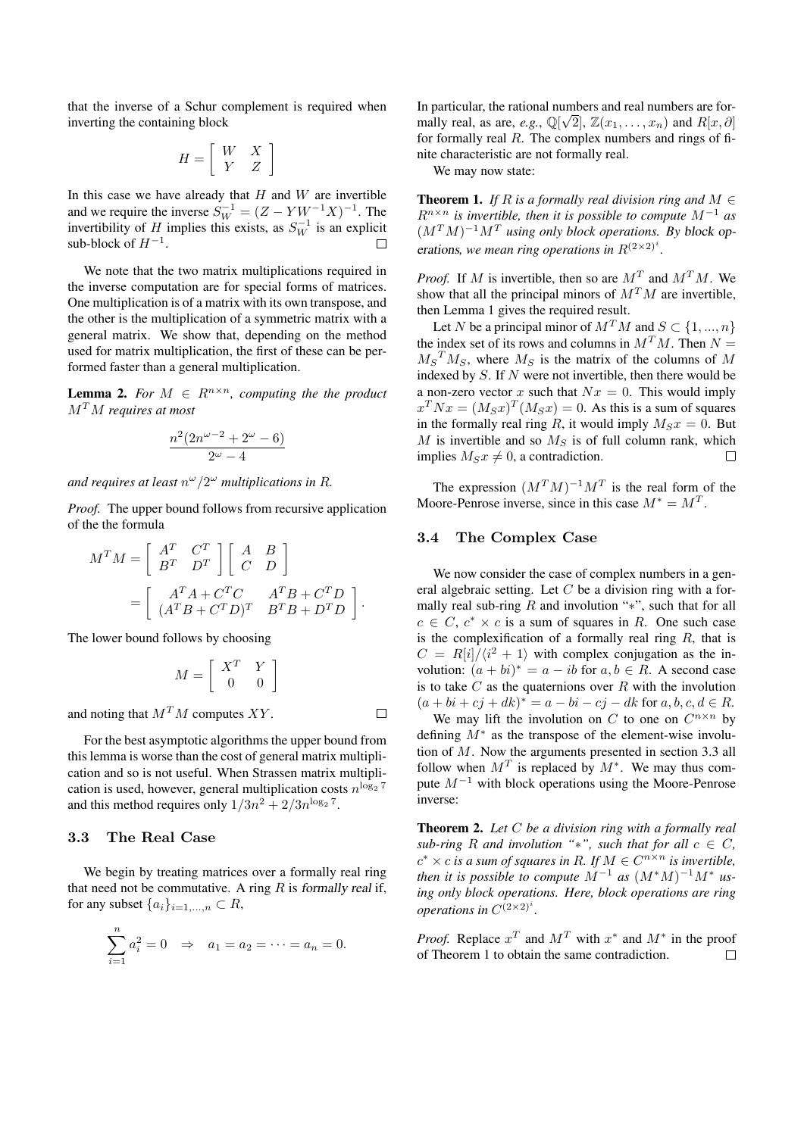that the inverse of a Schur complement is required when inverting the containing block

$$
H=\left[\begin{array}{cc} W & X\\ Y & Z\end{array}\right]
$$

In this case we have already that  $H$  and  $W$  are invertible and we require the inverse  $S_W^{-1} = (Z - YW^{-1}X)^{-1}$ . The invertibility of H implies this exists, as  $S_W^{-1}$  is an explicit sub-block of  $H^{-1}$ .

We note that the two matrix multiplications required in the inverse computation are for special forms of matrices. One multiplication is of a matrix with its own transpose, and the other is the multiplication of a symmetric matrix with a general matrix. We show that, depending on the method used for matrix multiplication, the first of these can be performed faster than a general multiplication.

**Lemma 2.** For  $M \in R^{n \times n}$ , computing the the product M<sup>T</sup>M *requires at most*

$$
\frac{n^2(2n^{\omega-2}+2^{\omega}-6)}{2^{\omega}-4}
$$

and requires at least  $n^{\omega}/2^{\omega}$  multiplications in R.

*Proof.* The upper bound follows from recursive application of the the formula

$$
M^T M = \begin{bmatrix} A^T & C^T \\ B^T & D^T \end{bmatrix} \begin{bmatrix} A & B \\ C & D \end{bmatrix}
$$
  
= 
$$
\begin{bmatrix} A^T A + C^T C & A^T B + C^T D \\ (A^T B + C^T D)^T & B^T B + D^T D \end{bmatrix}.
$$

The lower bound follows by choosing

$$
M = \left[\begin{array}{cc} X^T & Y \\ 0 & 0 \end{array}\right]
$$

 $\Box$ 

and noting that  $M<sup>T</sup>M$  computes XY.

For the best asymptotic algorithms the upper bound from this lemma is worse than the cost of general matrix multiplication and so is not useful. When Strassen matrix multiplication is used, however, general multiplication costs  $n^{\log_2 7}$ and this method requires only  $1/3n^2 + 2/3n^{\log_2 7}$ .

### 3.3 The Real Case

We begin by treating matrices over a formally real ring that need not be commutative. A ring  $R$  is formally real if, for any subset  $\{a_i\}_{i=1,\ldots,n} \subset R$ ,

$$
\sum_{i=1}^{n} a_i^2 = 0 \Rightarrow a_1 = a_2 = \dots = a_n = 0.
$$

In particular, the rational numbers and real numbers are formally real, as are, *e.g.*,  $\mathbb{Q}[\sqrt{2}]$ ,  $\mathbb{Z}(x_1, \ldots, x_n)$  and  $R[x, \partial]$ for formally real  $R$ . The complex numbers and rings of finite characteristic are not formally real.

We may now state:

**Theorem 1.** *If*  $R$  *is a formally real division ring and*  $M \in$ R<sup>n</sup>×<sup>n</sup> *is invertible, then it is possible to compute* M<sup>−</sup><sup>1</sup> *as*  $(M^T M)^{-1} M^T$  using only block operations. By block operations, we mean ring operations in  $R^{(2\times2)^i}$ .

*Proof.* If M is invertible, then so are  $M<sup>T</sup>$  and  $M<sup>T</sup>M$ . We show that all the principal minors of  $M<sup>T</sup>M$  are invertible, then Lemma 1 gives the required result.

Let N be a principal minor of  $M^T M$  and  $S \subset \{1, ..., n\}$ the index set of its rows and columns in  $M<sup>T</sup>M$ . Then  $N =$  $M_S^T M_S$ , where  $M_S$  is the matrix of the columns of M indexed by  $S$ . If  $N$  were not invertible, then there would be a non-zero vector x such that  $Nx = 0$ . This would imply  $x^T N x = (M_S x)^T (M_S x) = 0$ . As this is a sum of squares in the formally real ring R, it would imply  $M_Sx = 0$ . But  $M$  is invertible and so  $M<sub>S</sub>$  is of full column rank, which implies  $M_S x \neq 0$ , a contradiction.  $\Box$ 

The expression  $(M^T M)^{-1} M^T$  is the real form of the Moore-Penrose inverse, since in this case  $M^* = M^T$ .

# 3.4 The Complex Case

We now consider the case of complex numbers in a general algebraic setting. Let  $C$  be a division ring with a formally real sub-ring  $R$  and involution "\*", such that for all  $c \in C$ ,  $c^* \times c$  is a sum of squares in R. One such case is the complexification of a formally real ring  $R$ , that is  $C = R[i]/\langle i^2 + 1 \rangle$  with complex conjugation as the involution:  $(a + bi)^* = a - ib$  for  $a, b \in R$ . A second case is to take  $C$  as the quaternions over  $R$  with the involution  $(a + bi + cj + dk)^* = a - bi - cj - dk$  for  $a, b, c, d \in R$ .

We may lift the involution on C to one on  $C^{n \times n}$  by defining  $M^*$  as the transpose of the element-wise involution of  $M$ . Now the arguments presented in section 3.3 all follow when  $M<sup>T</sup>$  is replaced by  $M^*$ . We may thus compute  $M^{-1}$  with block operations using the Moore-Penrose inverse:

Theorem 2. *Let* C *be a division ring with a formally real sub-ring* R *and involution* "\*", *such that for all*  $c \in C$ ,  $c^* \times c$  *is a sum of squares in R. If*  $M \in C^{n \times n}$  *is invertible, then it is possible to compute*  $M^{-1}$  *as*  $(M^*M)^{-1}M^*$  *using only block operations. Here, block operations are ring operations in*  $C^{(2\times2)^i}$ .

*Proof.* Replace  $x^T$  and  $M^T$  with  $x^*$  and  $M^*$  in the proof of Theorem 1 to obtain the same contradiction. $\Box$